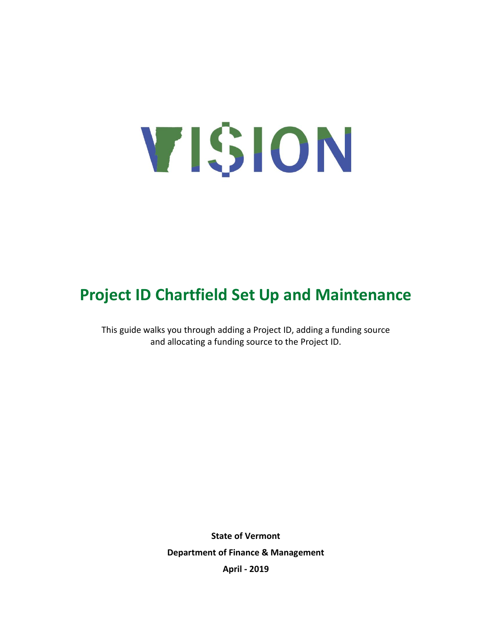# VISION

# **Project ID Chartfield Set Up and Maintenance**

This guide walks you through adding a Project ID, adding a funding source and allocating a funding source to the Project ID.

> **State of Vermont Department of Finance & Management April - 2019**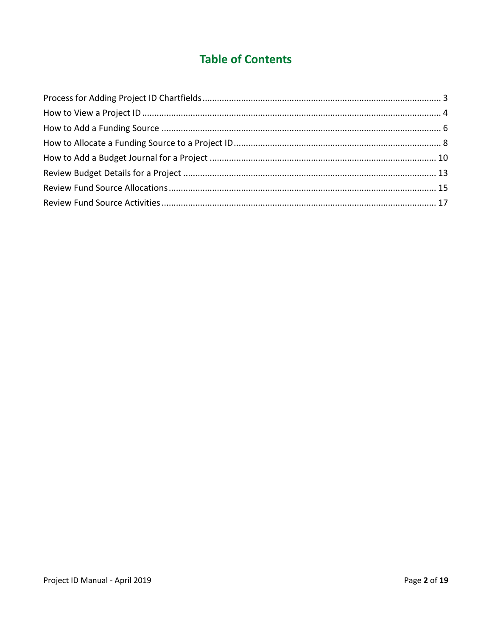# **Table of Contents**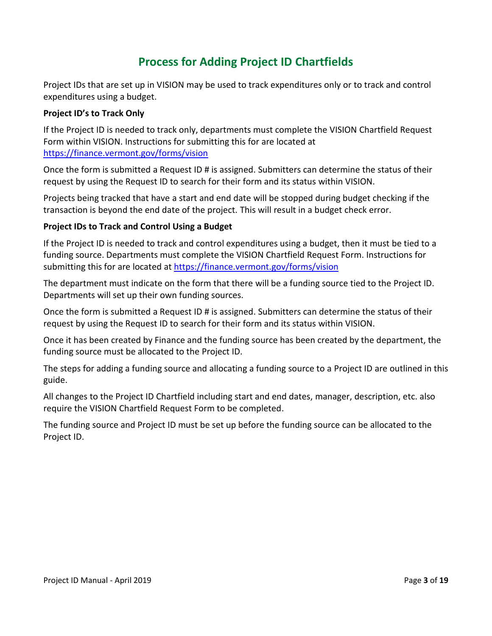# **Process for Adding Project ID Chartfields**

<span id="page-2-0"></span>Project IDs that are set up in VISION may be used to track expenditures only or to track and control expenditures using a budget.

### **Project ID's to Track Only**

If the Project ID is needed to track only, departments must complete the VISION Chartfield Request Form within VISION. Instructions for submitting this for are located at <https://finance.vermont.gov/forms/vision>

Once the form is submitted a Request ID # is assigned. Submitters can determine the status of their request by using the Request ID to search for their form and its status within VISION.

Projects being tracked that have a start and end date will be stopped during budget checking if the transaction is beyond the end date of the project. This will result in a budget check error.

### **Project IDs to Track and Control Using a Budget**

If the Project ID is needed to track and control expenditures using a budget, then it must be tied to a funding source. Departments must complete the VISION Chartfield Request Form. Instructions for submitting this for are located at<https://finance.vermont.gov/forms/vision>

The department must indicate on the form that there will be a funding source tied to the Project ID. Departments will set up their own funding sources.

Once the form is submitted a Request ID # is assigned. Submitters can determine the status of their request by using the Request ID to search for their form and its status within VISION.

Once it has been created by Finance and the funding source has been created by the department, the funding source must be allocated to the Project ID.

The steps for adding a funding source and allocating a funding source to a Project ID are outlined in this guide.

All changes to the Project ID Chartfield including start and end dates, manager, description, etc. also require the VISION Chartfield Request Form to be completed.

The funding source and Project ID must be set up before the funding source can be allocated to the Project ID.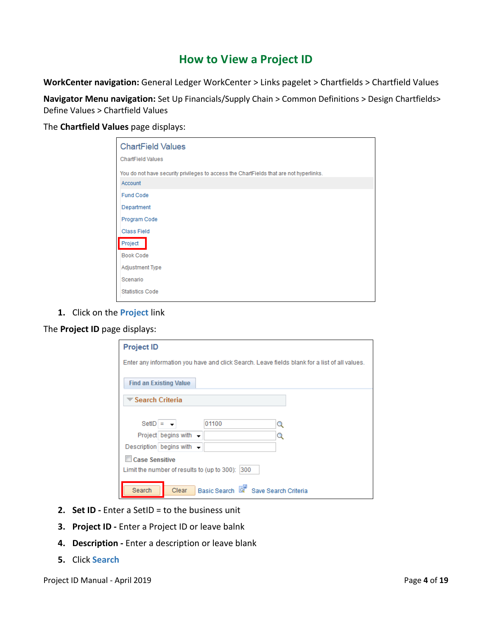# **How to View a Project ID**

<span id="page-3-0"></span>**WorkCenter navigation:** General Ledger WorkCenter > Links pagelet > Chartfields > Chartfield Values

**Navigator Menu navigation:** Set Up Financials/Supply Chain > Common Definitions > Design Chartfields> Define Values > Chartfield Values

The **Chartfield Values** page displays:

| <b>ChartField Values</b><br><b>ChartField Values</b>                                              |  |
|---------------------------------------------------------------------------------------------------|--|
| You do not have security privileges to access the ChartFields that are not hyperlinks.<br>Account |  |
| <b>Fund Code</b><br>Department                                                                    |  |
| Program Code<br><b>Class Field</b><br>Project                                                     |  |
| <b>Book Code</b><br><b>Adjustment Type</b>                                                        |  |
| Scenario<br><b>Statistics Code</b>                                                                |  |

**1.** Click on the **Project** link

The **Project ID** page displays:

| <b>Project ID</b>                           |              |                                                                                               |  |
|---------------------------------------------|--------------|-----------------------------------------------------------------------------------------------|--|
|                                             |              | Enter any information you have and click Search. Leave fields blank for a list of all values. |  |
| <b>Find an Existing Value</b>               |              |                                                                                               |  |
| ' Search Criteria                           |              |                                                                                               |  |
|                                             |              |                                                                                               |  |
| $SetID =$                                   | 01100        | Q                                                                                             |  |
| Project begins with -                       |              | Q                                                                                             |  |
| Description begins with $\sim$              |              |                                                                                               |  |
| <b>Case Sensitive</b>                       |              |                                                                                               |  |
| Limit the number of results to (up to 300): | 300          |                                                                                               |  |
| Search<br>Clear                             | Basic Search | Save Search Criteria                                                                          |  |

- **2. Set ID -** Enter a SetID = to the business unit
- **3. Project ID -** Enter a Project ID or leave balnk
- **4. Description -** Enter a description or leave blank
- **5.** Click **Search**

Project ID Manual - April 2019 **Page 4** of 19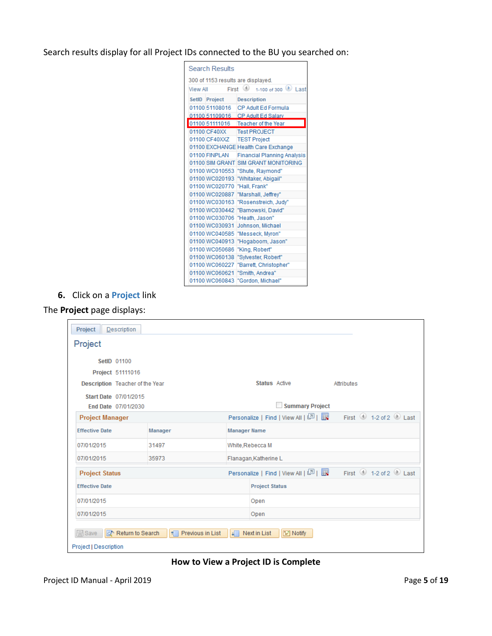<span id="page-4-0"></span>Search results display for all Project IDs connected to the BU you searched on:

| Search Results                     |                                            |
|------------------------------------|--------------------------------------------|
| 300 of 1153 results are displayed. |                                            |
| First<br><b>View All</b>           | $\left( 4\right)$<br>1-100 of 300 (b) Last |
| SetID Project                      | <b>Description</b>                         |
| 01100 51108016                     | CP Adult Ed Formula                        |
| 01100 51109016                     | CP Adult Ed Salary                         |
| 01100 51111016                     | <b>Teacher of the Year</b>                 |
| 01100 CF40XX                       | <b>Test PROJECT</b>                        |
| 01100 CF40XXZ                      | <b>TEST Project</b>                        |
|                                    | 01100 EXCHANGE Health Care Exchange        |
| 01100 FINPLAN                      | <b>Financial Planning Analysis</b>         |
| 01100 SIM GRANT                    | <b>SIM GRANT MONITORING</b>                |
| 01100 WC010553                     | "Shute, Raymond"                           |
| 01100 WC020193                     | "Whitaker, Abigail"                        |
| 01100 WC020770                     | "Hall, Frank"                              |
| 01100 WC020887                     | "Marshall, Jeffrey"                        |
| 01100 WC030163                     | "Rosenstreich, Judy"                       |
| 01100 WC030442                     | "Barnowski, David"                         |
| 01100 WC030706                     | "Heath, Jason"                             |
| 01100 WC030931                     | Johnson, Michael                           |
| 01100 WC040585                     | "Messeck, Myron"                           |
| 01100 WC040913                     | "Hogaboom, Jason"                          |
| 01100 WC050686                     | "King, Robert"                             |
| 01100 WC060138                     | "Sylvester, Robert"                        |
| 01100 WC060227                     | "Barrett, Christopher"                     |
| 01100 WC060621                     | "Smith, Andrea"                            |
| 01100 WC060843                     | "Gordon, Michael"                          |

**6.** Click on a **Project** link

### The **Project** page displays:

| Project<br>Description                                   |                    |                       |                                       |                                                                                                       |  |  |  |  |
|----------------------------------------------------------|--------------------|-----------------------|---------------------------------------|-------------------------------------------------------------------------------------------------------|--|--|--|--|
| Project                                                  |                    |                       |                                       |                                                                                                       |  |  |  |  |
| SetID 01100                                              |                    |                       |                                       |                                                                                                       |  |  |  |  |
| Project 51111016                                         |                    |                       |                                       |                                                                                                       |  |  |  |  |
| Description Teacher of the Year                          |                    |                       | <b>Status</b> Active                  | Attributes                                                                                            |  |  |  |  |
| Start Date 07/01/2015<br>End Date 07/01/2030             |                    |                       | <b>Summary Project</b>                |                                                                                                       |  |  |  |  |
| <b>Project Manager</b>                                   |                    |                       |                                       | Personalize   Find   View All   $\boxed{2}$   $\boxed{1}$ First $\boxed{0}$ 1-2 of 2 $\boxed{0}$ Last |  |  |  |  |
| <b>Effective Date</b>                                    | Manager            | <b>Manager Name</b>   |                                       |                                                                                                       |  |  |  |  |
| 07/01/2015                                               | 31497              | White, Rebecca M      |                                       |                                                                                                       |  |  |  |  |
| 07/01/2015                                               | 35973              | Flanagan, Katherine L |                                       |                                                                                                       |  |  |  |  |
| <b>Project Status</b>                                    |                    |                       | Personalize   Find   View All   2   표 | First $\bigcirc$ 1-2 of 2 $\bigcirc$ Last                                                             |  |  |  |  |
| <b>Effective Date</b>                                    |                    |                       | <b>Project Status</b>                 |                                                                                                       |  |  |  |  |
| 07/01/2015                                               |                    |                       | Open                                  |                                                                                                       |  |  |  |  |
| 07/01/2015                                               |                    |                       | Open                                  |                                                                                                       |  |  |  |  |
| $\Box$ Save<br>Return to Search<br>Project   Description | ↑ Previous in List | $\downarrow$          | $\equiv$ Notify<br>Next in List       |                                                                                                       |  |  |  |  |

### **How to View a Project ID is Complete**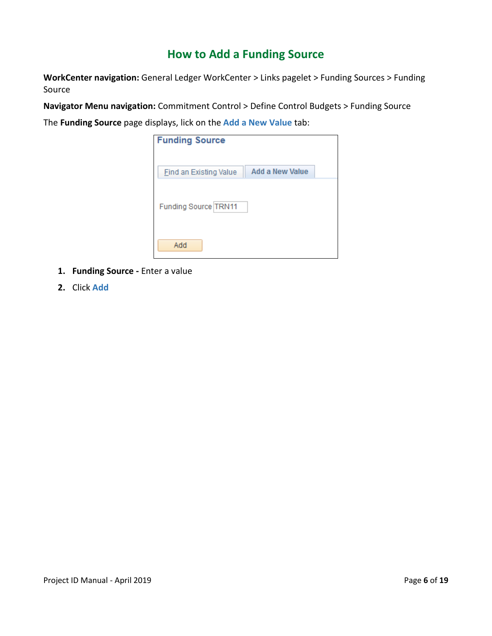# **How to Add a Funding Source**

**WorkCenter navigation:** General Ledger WorkCenter > Links pagelet > Funding Sources > Funding Source

**Navigator Menu navigation:** Commitment Control > Define Control Budgets > Funding Source

The **Funding Source** page displays, lick on the **Add a New Value** tab:

| <b>Funding Source</b>         |                        |
|-------------------------------|------------------------|
| <b>Find an Existing Value</b> | <b>Add a New Value</b> |
| Funding Source TRN11          |                        |
| Add                           |                        |

- **1. Funding Source -** Enter a value
- **2.** Click **Add**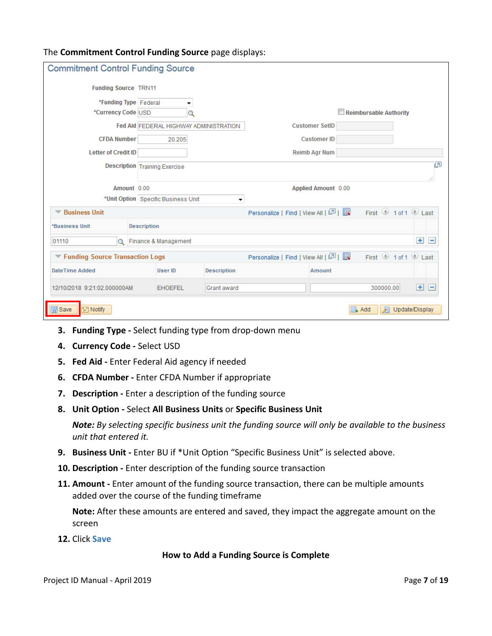### <span id="page-6-0"></span>The **Commitment Control Funding Source** page displays:

| <b>Commitment Control Funding Source</b>      |                                        |                    |                                    |                       |                        |                    |
|-----------------------------------------------|----------------------------------------|--------------------|------------------------------------|-----------------------|------------------------|--------------------|
| <b>Funding Source TRN11</b>                   |                                        |                    |                                    |                       |                        |                    |
| *Funding Type   Federal<br>*Currency Code USD | ▼                                      |                    |                                    |                       | Reimbursable Authority |                    |
|                                               | Fed Aid FEDERAL HIGHWAY ADMINISTRATION |                    |                                    | <b>Customer SetID</b> |                        |                    |
| <b>CFDA Number</b>                            | 20.205                                 |                    |                                    | <b>Customer ID</b>    |                        |                    |
| <b>Letter of Credit ID</b>                    |                                        |                    |                                    | <b>Reimb Agr Num</b>  |                        |                    |
| <b>Description Training Exercise</b>          |                                        |                    |                                    | 린<br>đ.               |                        |                    |
| Amount 0.00                                   | Applied Amount 0.00                    |                    |                                    |                       |                        |                    |
| *Unit Option   Specific Business Unit         |                                        |                    |                                    |                       |                        |                    |
| <b>Business Unit</b>                          |                                        |                    |                                    |                       | First 1 of 1 D Last    |                    |
| <b>*Business Unit</b>                         | <b>Description</b>                     |                    |                                    |                       |                        |                    |
| 01110<br>Q                                    | Finance & Management                   |                    |                                    |                       |                        | $+$ $-$            |
| ▼ Funding Source Transaction Logs             |                                        |                    | Personalize   Find   View All   미국 |                       | First 1 of 1 D Last    |                    |
| DateTime Added                                | User ID                                | <b>Description</b> |                                    | <b>Amount</b>         |                        |                    |
| 12/10/2018 9:21:02.000000AM                   | <b>EHOEFEL</b>                         | Grant award        |                                    |                       | 300000.00              | $+$<br>$\bigoplus$ |
| <b>同</b> Save<br>$\equiv$ Notify              |                                        |                    |                                    |                       | ≣⊾ Add<br>Л            | Update/Display     |

- **3. Funding Type -** Select funding type from drop-down menu
- **4. Currency Code -** Select USD
- **5. Fed Aid -** Enter Federal Aid agency if needed
- **6. CFDA Number -** Enter CFDA Number if appropriate
- **7. Description -** Enter a description of the funding source
- **8. Unit Option -** Select **All Business Units** or **Specific Business Unit**

*Note: By selecting specific business unit the funding source will only be available to the business unit that entered it.*

- **9. Business Unit -** Enter BU if \*Unit Option "Specific Business Unit" is selected above.
- **10. Description -** Enter description of the funding source transaction
- **11. Amount -** Enter amount of the funding source transaction, there can be multiple amounts added over the course of the funding timeframe

**Note:** After these amounts are entered and saved, they impact the aggregate amount on the screen

**12.** Click **Save**

### **How to Add a Funding Source is Complete**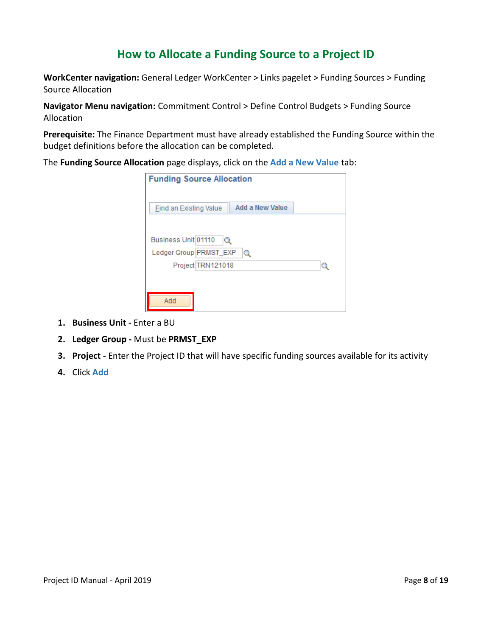# **How to Allocate a Funding Source to a Project ID**

**WorkCenter navigation:** General Ledger WorkCenter > Links pagelet > Funding Sources > Funding Source Allocation

**Navigator Menu navigation:** Commitment Control > Define Control Budgets > Funding Source Allocation

**Prerequisite:** The Finance Department must have already established the Funding Source within the budget definitions before the allocation can be completed.

The **Funding Source Allocation** page displays, click on the **Add a New Value** tab:

| <b>Funding Source Allocation</b>          |  |
|-------------------------------------------|--|
|                                           |  |
| Add a New Value<br>Find an Existing Value |  |
|                                           |  |
| Business Unit 01110<br>Q                  |  |
|                                           |  |
| Ledger Group PRMST_EXP<br>Q               |  |
| Project TRN121018                         |  |
|                                           |  |
|                                           |  |
| Add                                       |  |
|                                           |  |

- **1. Business Unit -** Enter a BU
- **2. Ledger Group -** Must be **PRMST\_EXP**
- **3. Project -** Enter the Project ID that will have specific funding sources available for its activity
- **4.** Click **Add**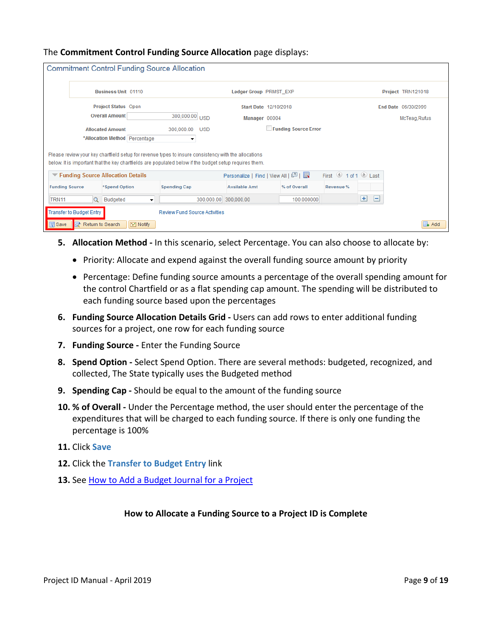|                       |                          |                                     |                          | <b>Commitment Control Funding Source Allocation</b> |                       |                                                                                                                                                                                                                |                      |                                         |            |                     |
|-----------------------|--------------------------|-------------------------------------|--------------------------|-----------------------------------------------------|-----------------------|----------------------------------------------------------------------------------------------------------------------------------------------------------------------------------------------------------------|----------------------|-----------------------------------------|------------|---------------------|
|                       |                          |                                     |                          |                                                     |                       |                                                                                                                                                                                                                |                      |                                         |            |                     |
|                       |                          | <b>Business Unit 01110</b>          |                          |                                                     |                       | Ledger Group PRMST EXP                                                                                                                                                                                         |                      |                                         |            | Project TRN121018   |
|                       |                          | Project Status Open                 |                          |                                                     |                       | Start Date 12/10/2018                                                                                                                                                                                          |                      |                                         |            | End Date 06/30/2099 |
|                       |                          | <b>Overall Amount</b>               |                          | 300,000.00 USD                                      |                       | Manager 00004                                                                                                                                                                                                  |                      |                                         |            | McTeag, Rufus       |
|                       |                          | <b>Allocated Amount</b>             |                          | 300,000.00                                          | <b>USD</b>            |                                                                                                                                                                                                                | Funding Source Error |                                         |            |                     |
|                       |                          | *Allocation Method Percentage       |                          | ۰                                                   |                       |                                                                                                                                                                                                                |                      |                                         |            |                     |
|                       |                          |                                     |                          |                                                     |                       |                                                                                                                                                                                                                |                      |                                         |            |                     |
|                       |                          |                                     |                          |                                                     |                       | Please review your key chartfield setup for revenue types to insure consistency with the allocations<br>below. It is important that the key chartfields are populated below if the budget setup requires them. |                      |                                         |            |                     |
|                       |                          | ▼ Funding Source Allocation Details |                          |                                                     |                       | Personalize   Find   View All   그   표                                                                                                                                                                          |                      | First $\bigcirc$ 1 of 1 $\bigcirc$ Last |            |                     |
| <b>Funding Source</b> |                          | *Spend Option                       |                          | <b>Spending Cap</b>                                 |                       | <b>Available Amt</b>                                                                                                                                                                                           | % of Overall         | Revenue %                               |            |                     |
| TRN <sub>11</sub>     |                          | Q Budgeted                          | $\overline{\phantom{a}}$ |                                                     | 300,000.00 300,000.00 |                                                                                                                                                                                                                | 100.000000           |                                         | $\pm$<br>H |                     |
|                       | Transfer to Budget Entry |                                     |                          | <b>Review Fund Source Activities</b>                |                       |                                                                                                                                                                                                                |                      |                                         |            |                     |
| <b>同</b> Save         | oth Return to Search     |                                     | $\equiv$ Notify          |                                                     |                       |                                                                                                                                                                                                                |                      |                                         |            | L Add               |

### <span id="page-8-0"></span>The **Commitment Control Funding Source Allocation** page displays:

- **5. Allocation Method -** In this scenario, select Percentage. You can also choose to allocate by:
	- Priority: Allocate and expend against the overall funding source amount by priority
	- Percentage: Define funding source amounts a percentage of the overall spending amount for the control Chartfield or as a flat spending cap amount. The spending will be distributed to each funding source based upon the percentages
- **6. Funding Source Allocation Details Grid -** Users can add rows to enter additional funding sources for a project, one row for each funding source
- **7. Funding Source -** Enter the Funding Source
- **8. Spend Option -** Select Spend Option. There are several methods: budgeted, recognized, and collected, The State typically uses the Budgeted method
- **9. Spending Cap -** Should be equal to the amount of the funding source
- **10. % of Overall -** Under the Percentage method, the user should enter the percentage of the expenditures that will be charged to each funding source. If there is only one funding the percentage is 100%
- **11.** Click **Save**
- **12.** Click the **Transfer to Budget Entry** link
- 13. See **[How to Add a Budget Journal for](#page-4-0) a Project**

### **How to Allocate a Funding Source to a Project ID is Complete**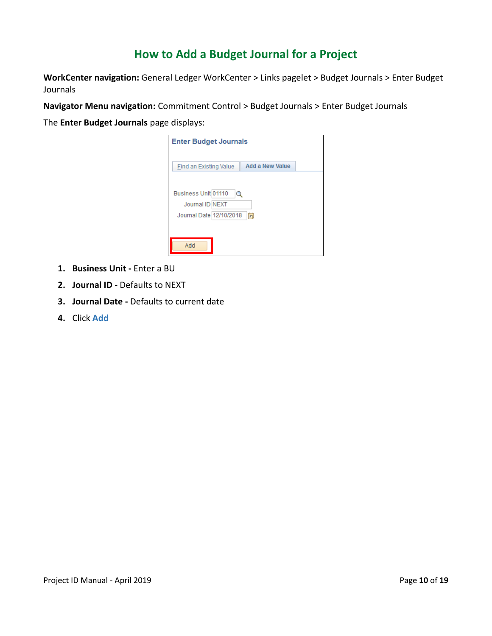# **How to Add a Budget Journal for a Project**

**WorkCenter navigation:** General Ledger WorkCenter > Links pagelet > Budget Journals > Enter Budget Journals

**Navigator Menu navigation:** Commitment Control > Budget Journals > Enter Budget Journals

The **Enter Budget Journals** page displays:

| <b>Enter Budget Journals</b>                                                |
|-----------------------------------------------------------------------------|
|                                                                             |
| Add a New Value<br>Find an Existing Value                                   |
| Business Unit 01110<br>Q<br>Journal ID NEXT<br>Journal Date 12/10/2018<br>Ħ |
| Add                                                                         |

- **1. Business Unit -** Enter a BU
- **2. Journal ID -** Defaults to NEXT
- **3. Journal Date -** Defaults to current date
- **4.** Click **Add**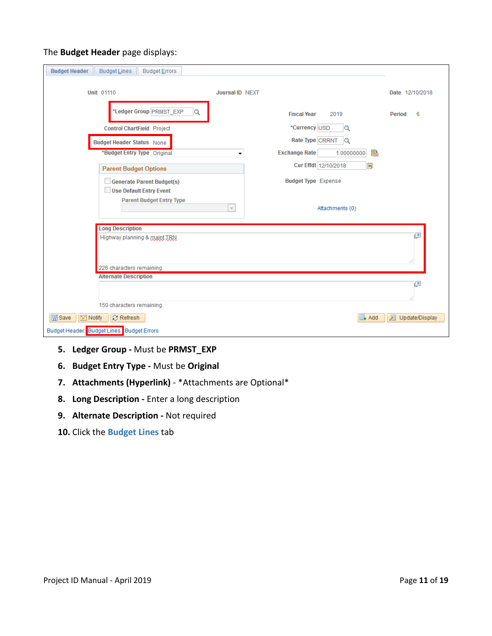### The **Budget Header** page displays:

| <b>Budget Header</b><br><b>Budget Lines</b><br>Budget Errors      |                                                  |                     |
|-------------------------------------------------------------------|--------------------------------------------------|---------------------|
| <b>Unit 01110</b>                                                 | Journal ID NEXT                                  | Date 12/10/2018     |
| *Ledger Group PRMST_EXP<br>Q<br><b>Control ChartField Project</b> | <b>Fiscal Year</b><br>2019<br>*Currency USD<br>Q | 6<br>Period         |
| <b>Budget Header Status None</b>                                  | Rate Type CRRNT<br>$\mathbf Q$                   |                     |
| *Budget Entry Type Original                                       | 晶<br><b>Exchange Rate</b><br>1.00000000<br>▼     |                     |
| <b>Parent Budget Options</b>                                      | Cur Effdt 12/10/2018<br>Ë                        |                     |
| <b>Generate Parent Budget(s)</b><br>Use Default Entry Event       | <b>Budget Type Expense</b>                       |                     |
| <b>Parent Budget Entry Type</b>                                   | Attachments (0)<br>$\overline{\nabla}$           |                     |
| <b>Long Description</b>                                           |                                                  |                     |
| Highway planning & maint TRN                                      |                                                  | ø<br>ă.             |
| 226 characters remaining                                          |                                                  |                     |
| <b>Alternate Description</b>                                      |                                                  | @<br>Æ.             |
| 150 characters remaining                                          |                                                  |                     |
| <b>同</b> Save<br>$\Box$ Notify<br><b>C</b> Refresh                | ≣∔ Add                                           | 园<br>Update/Display |
| Budget Header Budget Lines Budget Errors                          |                                                  |                     |

- **5. Ledger Group -** Must be **PRMST\_EXP**
- **6. Budget Entry Type -** Must be **Original**
- **7. Attachments (Hyperlink)** \*Attachments are Optional\*
- **8. Long Description -** Enter a long description
- **9. Alternate Description -** Not required
- **10.** Click the **Budget Lines** tab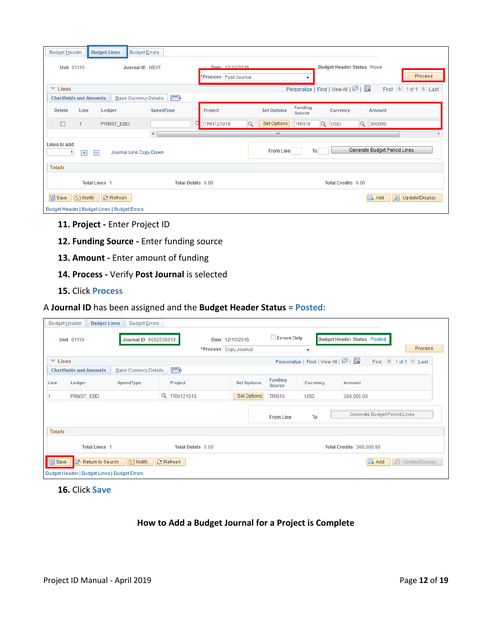| Budget Header                                                                               |      | <b>Budget Lines</b> | <b>Budget Errors</b>                                            |                                               |                                  |                              |                          |                                             |            |  |               |  |
|---------------------------------------------------------------------------------------------|------|---------------------|-----------------------------------------------------------------|-----------------------------------------------|----------------------------------|------------------------------|--------------------------|---------------------------------------------|------------|--|---------------|--|
| <b>Unit 01110</b>                                                                           |      |                     | Journal ID NEXT                                                 | Date 12/10/2018<br>*Process Post Journal<br>▼ |                                  |                              |                          | <b>Budget Header Status None</b><br>Process |            |  |               |  |
| Personalize   Find   View All   2    <br>$\overline{\phantom{1}}$ Lines                     |      |                     |                                                                 |                                               |                                  |                              | First 1 of 1 D Last      |                                             |            |  |               |  |
| <b>Chartfields and Amounts</b>                                                              |      |                     | $\ket{\overline{\mathsf{Hil}}}$<br><b>Base Currency Details</b> |                                               |                                  |                              |                          |                                             |            |  |               |  |
| <b>Delete</b>                                                                               | Line | Ledger              | SpeedType                                                       | Project                                       |                                  | <b>Set Options</b>           | <b>Funding</b><br>Source |                                             | Currency   |  | <b>Amount</b> |  |
| $\Box$                                                                                      |      | PRMST_EBD           |                                                                 | TRN121018                                     | Set Options<br>TRN10<br>$\alpha$ |                              |                          | $\mathsf{Q}$                                | <b>USD</b> |  | Q 300000      |  |
| $\rightarrow$<br>m.                                                                         |      |                     |                                                                 |                                               |                                  |                              |                          |                                             |            |  |               |  |
| Lines to add<br><b>From Line</b><br>To<br>Journal Line Copy Down<br>$\left  + \right $<br>E |      |                     |                                                                 |                                               |                                  | Generate Budget Period Lines |                          |                                             |            |  |               |  |
| <b>Totals</b>                                                                               |      |                     |                                                                 |                                               |                                  |                              |                          |                                             |            |  |               |  |
| <b>Total Debits 0.00</b><br><b>Total Credits 0.00</b><br><b>Total Lines 1</b>               |      |                     |                                                                 |                                               |                                  |                              |                          |                                             |            |  |               |  |
| <b>圖</b> Save<br><b>E</b> Notify<br><b>C</b> Refresh<br><b>B</b> Add<br>园<br>Update/Display |      |                     |                                                                 |                                               |                                  |                              |                          |                                             |            |  |               |  |
|                                                                                             |      |                     |                                                                 |                                               |                                  |                              |                          |                                             |            |  |               |  |

- **11. Project -** Enter Project ID
- **12. Funding Source -** Enter funding source
- **13. Amount -** Enter amount of funding
- **14. Process -** Verify **Post Journal** is selected
- **15.** Click **Process**

### A **Journal ID** has been assigned and the **Budget Header Status** = **Posted**:

| <b>Budget Header</b>           | <b>Budget Lines</b>                              | <b>Budget Errors</b>         |  |                                          |                    |                          |                                   |                                                      |
|--------------------------------|--------------------------------------------------|------------------------------|--|------------------------------------------|--------------------|--------------------------|-----------------------------------|------------------------------------------------------|
|                                | <b>Unit 01110</b>                                | Journal ID 0002558819        |  | Date 12/10/2018<br>*Process Copy Journal |                    | <b>Errors Only</b>       | ۰                                 | <b>Budget Header Status Posted</b><br><b>Process</b> |
| $\overline{\phantom{a}}$ Lines |                                                  |                              |  |                                          |                    |                          | Personalize   Find   View All   2 | First 1 of 1 D Last                                  |
|                                | <b>Chartfields and Amounts</b>                   | <b>Base Currency Details</b> |  | $\ket{m}$                                |                    |                          |                                   |                                                      |
| Line                           | Ledger                                           | SpeedType                    |  | Project                                  | <b>Set Options</b> | <b>Funding</b><br>Source | <b>Currency</b>                   | Amount                                               |
|                                | PRMST_EBD                                        |                              |  | <b>Q</b> TRN121018                       | Set Options        | TRN10                    | <b>USD</b>                        | 300,000.00                                           |
|                                |                                                  |                              |  |                                          |                    | <b>From Line</b>         | To                                | Generate Budget Period Lines                         |
| <b>Totals</b>                  |                                                  |                              |  |                                          |                    |                          |                                   |                                                      |
|                                | <b>Total Lines 1</b><br><b>Total Debits 0.00</b> |                              |  |                                          |                    |                          |                                   | <b>Total Credits 300,000.00</b>                      |
| <b>同</b> Save                  | Return to Search                                 | F Notify                     |  | <b>C</b> Refresh                         |                    |                          |                                   | $\Box$ Add<br>廻<br>Update/Display                    |
|                                | Budget Header   Budget Lines   Budget Errors     |                              |  |                                          |                    |                          |                                   |                                                      |

### **16.** Click **Save**

### **How to Add a Budget Journal for a Project is Complete**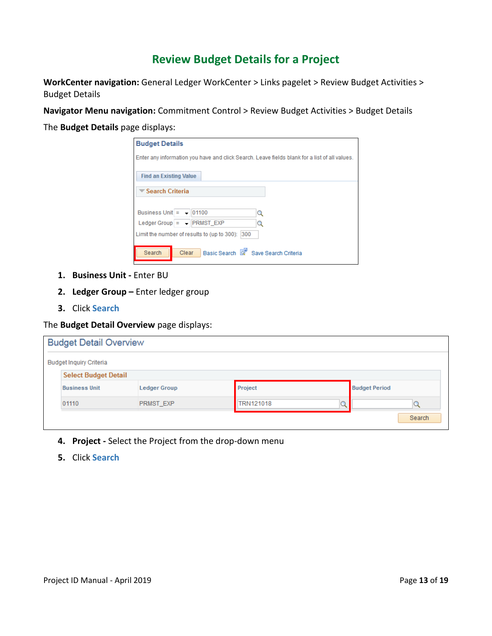# **Review Budget Details for a Project**

<span id="page-12-0"></span>**WorkCenter navigation:** General Ledger WorkCenter > Links pagelet > Review Budget Activities > Budget Details

**Navigator Menu navigation:** Commitment Control > Review Budget Activities > Budget Details

The **Budget Details** page displays:

| <b>Budget Details</b>                                                                         |  |  |  |  |
|-----------------------------------------------------------------------------------------------|--|--|--|--|
| Enter any information you have and click Search. Leave fields blank for a list of all values. |  |  |  |  |
| <b>Find an Existing Value</b>                                                                 |  |  |  |  |
| <i><del>■ Search Criteria</del></i>                                                           |  |  |  |  |
|                                                                                               |  |  |  |  |
| Business Unit $=$ $-$ 101100<br>Q                                                             |  |  |  |  |
| Ledger Group = $\arrow$ <b>PRMST</b> EXP<br>Q                                                 |  |  |  |  |
| Limit the number of results to (up to 300):<br>300                                            |  |  |  |  |
|                                                                                               |  |  |  |  |
| Basic Search & Save Search Criteria<br>Search<br>Clear                                        |  |  |  |  |

- **1. Business Unit -** Enter BU
- **2. Ledger Group –** Enter ledger group
- **3.** Click **Search**

The **Budget Detail Overview** page displays:

| <b>Budget Detail Overview</b>  |                     |                  |                      |
|--------------------------------|---------------------|------------------|----------------------|
| <b>Budget Inquiry Criteria</b> |                     |                  |                      |
| <b>Select Budget Detail</b>    |                     |                  |                      |
| <b>Business Unit</b>           | <b>Ledger Group</b> | Project          | <b>Budget Period</b> |
| 01110                          | <b>PRMST EXP</b>    | <b>TRN121018</b> |                      |
|                                |                     |                  | Search               |

- **4. Project -** Select the Project from the drop-down menu
- **5.** Click **Search**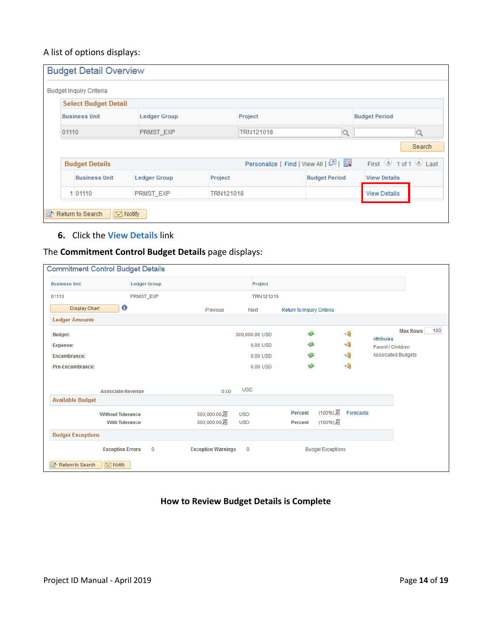### A list of options displays:

| <b>Budget Inquiry Criteria</b> |                     |           |                  |                                       |                      |
|--------------------------------|---------------------|-----------|------------------|---------------------------------------|----------------------|
| <b>Select Budget Detail</b>    |                     |           |                  |                                       |                      |
| <b>Business Unit</b>           | <b>Ledger Group</b> |           | Project          |                                       | <b>Budget Period</b> |
| 01110                          | PRMST_EXP           |           | <b>TRN121018</b> | Q                                     | Q                    |
|                                |                     |           |                  |                                       | Search               |
| <b>Budget Details</b>          |                     |           |                  | Personalize   Find   View All   2   표 | First 1 of 1 D Last  |
| <b>Business Unit</b>           | <b>Ledger Group</b> | Project   |                  | <b>Budget Period</b>                  | <b>View Details</b>  |
| 1 01110                        | <b>PRMST EXP</b>    | TRN121018 |                  |                                       | <b>View Details</b>  |

### **6.** Click the **View Details** link

### The **Commitment Control Budget Details** page displays:

| <b>Commitment Control Budget Details</b> |                     |                           |                  |                            |                          |                                      |
|------------------------------------------|---------------------|---------------------------|------------------|----------------------------|--------------------------|--------------------------------------|
| <b>Business Unit</b>                     | <b>Ledger Group</b> |                           | Project          |                            |                          |                                      |
| 01110                                    | PRMST_EXP           |                           | <b>TRN121018</b> |                            |                          |                                      |
| €<br><b>Display Chart</b>                |                     | Previous                  | Next             | Return to Inquiry Criteria |                          |                                      |
| <b>Ledger Amounts</b>                    |                     |                           |                  |                            |                          |                                      |
| <b>Budget:</b>                           |                     |                           | 300,000.00 USD   | ◈                          | $\overline{\phantom{a}}$ | 100<br><b>Max Rows</b><br>Attributes |
| <b>Expense:</b>                          |                     |                           | 0.00 USD         | ا©                         | $\overline{\mathcal{A}}$ | Parent / Children                    |
| <b>Encumbrance:</b>                      |                     |                           | 0.00 USD         | ⋒                          | $\overline{\mathbb{Q}}$  | <b>Associated Budgets</b>            |
| <b>Pre-Encumbrance:</b>                  |                     |                           | 0.00 USD         | ◈                          | $\overline{\phantom{a}}$ |                                      |
|                                          |                     |                           |                  |                            |                          |                                      |
| <b>Associate Revenue</b>                 |                     | 0.00                      | <b>USD</b>       |                            |                          |                                      |
| <b>Available Budget</b>                  |                     |                           |                  |                            |                          |                                      |
| <b>Without Tolerance</b>                 |                     | 300,000.00 遍              | <b>USD</b>       | (100%) 园<br><b>Percent</b> | Forecasts                |                                      |
| <b>With Tolerance</b>                    |                     | 300,000.00 周              | <b>USD</b>       | (100%)月<br><b>Percent</b>  |                          |                                      |
| <b>Budget Exceptions</b>                 |                     |                           |                  |                            |                          |                                      |
| <b>Exception Errors</b>                  | 0                   | <b>Exception Warnings</b> | $\mathbf 0$      | <b>Budget Exceptions</b>   |                          |                                      |
| Return to Search<br>$\equiv$ Notify      |                     |                           |                  |                            |                          |                                      |

**How to Review Budget Details is Complete**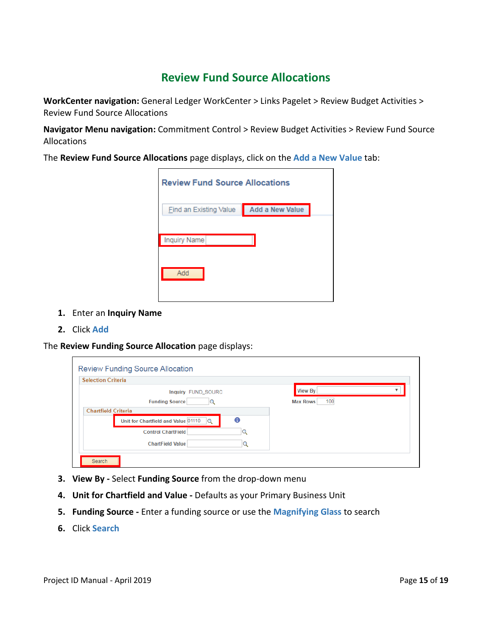# **Review Fund Source Allocations**

<span id="page-14-0"></span>**WorkCenter navigation:** General Ledger WorkCenter > Links Pagelet > Review Budget Activities > Review Fund Source Allocations

**Navigator Menu navigation:** Commitment Control > Review Budget Activities > Review Fund Source Allocations

The **Review Fund Source Allocations** page displays, click on the **Add a New Value** tab:

| <b>Review Fund Source Allocations</b> |                 |
|---------------------------------------|-----------------|
| <b>Find an Existing Value</b>         | Add a New Value |
| <b>Inquiry Name</b>                   |                 |
|                                       |                 |
| Add                                   |                 |
|                                       |                 |

- **1.** Enter an **Inquiry Name**
- **2.** Click **Add**

The **Review Funding Source Allocation** page displays:

| <b>Selection Criteria</b> |                                               |                        |
|---------------------------|-----------------------------------------------|------------------------|
|                           | Inquiry FUND_SOURC                            | View By                |
|                           | <b>Funding Source</b>                         | 100<br><b>Max Rows</b> |
|                           | <b>Chartfield Criteria</b>                    |                        |
|                           | A<br>Unit for Chartfield and Value 01110<br>Q |                        |
|                           | <b>Control ChartField</b>                     |                        |
|                           | <b>ChartField Value</b>                       |                        |

- **3. View By -** Select **Funding Source** from the drop-down menu
- **4. Unit for Chartfield and Value -** Defaults as your Primary Business Unit
- **5. Funding Source -** Enter a funding source or use the **Magnifying Glass** to search
- **6.** Click **Search**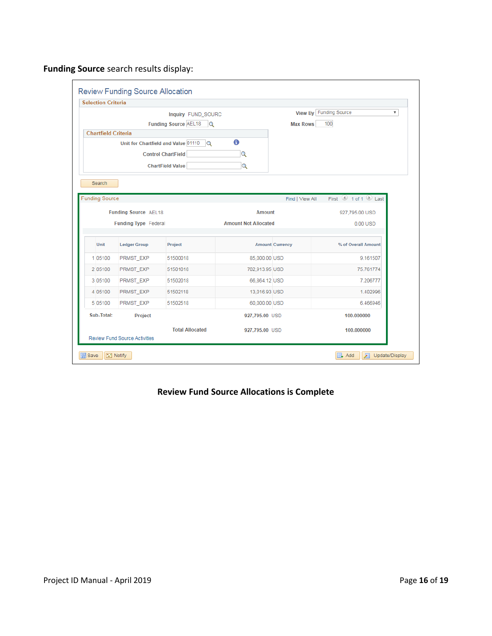<span id="page-15-0"></span>**Funding Source** search results display:

| <b>Selection Criteria</b>  |                                      |                                                 |                             |                        |                              |
|----------------------------|--------------------------------------|-------------------------------------------------|-----------------------------|------------------------|------------------------------|
|                            |                                      | Inquiry FUND_SOURC                              |                             |                        | View By Funding Source<br>۷. |
|                            |                                      | Funding Source AEL18<br>$\alpha$                |                             | <b>Max Rows</b>        | 100                          |
| <b>Chartfield Criteria</b> |                                      |                                                 |                             |                        |                              |
|                            |                                      | Unit for Chartfield and Value 01110<br>$\Omega$ | 6                           |                        |                              |
|                            |                                      | <b>Control ChartField</b>                       | $\alpha$                    |                        |                              |
|                            |                                      | <b>ChartField Value</b>                         | Q                           |                        |                              |
| Search                     |                                      |                                                 |                             |                        |                              |
|                            |                                      |                                                 |                             |                        |                              |
| <b>Funding Source</b>      |                                      |                                                 |                             | Find   View All        | First 1 of 1 Last            |
|                            | Funding Source AEL18                 |                                                 | <b>Amount</b>               |                        | 927,795.00 USD               |
|                            | <b>Funding Type Federal</b>          |                                                 | <b>Amount Not Allocated</b> |                        | $0.00$ USD                   |
|                            |                                      |                                                 |                             |                        |                              |
| Unit                       | <b>Ledger Group</b>                  | Project                                         |                             | <b>Amount Currency</b> | % of Overall Amount          |
| 1 05100                    | PRMST_EXP                            | 51500018                                        | 85,000.00 USD               |                        | 9.161507                     |
| 2 05100                    | PRMST EXP                            | 51501018                                        | 702.913.95 USD              |                        | 75.761774                    |
| 3 05100                    | PRMST EXP                            | 51502018                                        | 66,864.12 USD               |                        | 7.206777                     |
| 4 05100                    | PRMST_EXP                            | 51502118                                        | 13,016.93 USD               |                        | 1.402996                     |
| 5 05100                    | PRMST_EXP                            | 51502518                                        | 60,000.00 USD               |                        | 6.466946                     |
| Sub-Total:                 | Project                              |                                                 | 927,795.00 USD              |                        | 100.000000                   |
|                            |                                      | <b>Total Allocated</b>                          | 927,795.00 USD              |                        | 100.000000                   |
|                            | <b>Review Fund Source Activities</b> |                                                 |                             |                        |                              |

### **Review Fund Source Allocations is Complete**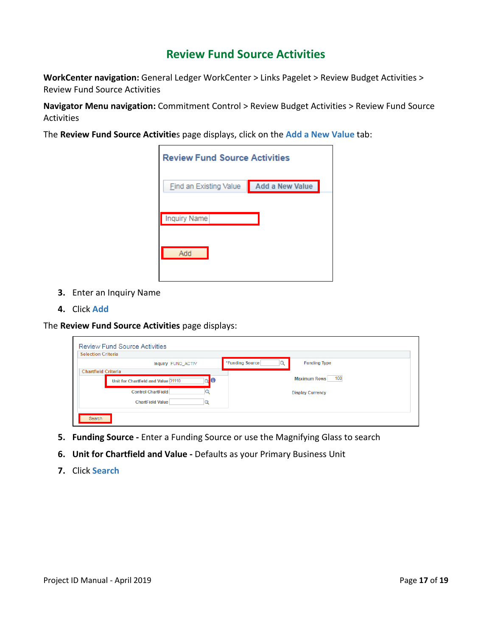## **Review Fund Source Activities**

**WorkCenter navigation:** General Ledger WorkCenter > Links Pagelet > Review Budget Activities > Review Fund Source Activities

**Navigator Menu navigation:** Commitment Control > Review Budget Activities > Review Fund Source Activities

The **Review Fund Source Activitie**s page displays, click on the **Add a New Value** tab:

| <b>Review Fund Source Activities</b> |                 |
|--------------------------------------|-----------------|
| <b>Find an Existing Value</b>        | Add a New Value |
| Inquiry Name                         |                 |
| Add                                  |                 |
|                                      |                 |

- **3.** Enter an Inquiry Name
- **4.** Click **Add**

The **Review Fund Source Activities** page displays:

|                            | Inquiry FUND ACTIV                  |        | *Funding Source | <b>Funding Type</b>        |  |
|----------------------------|-------------------------------------|--------|-----------------|----------------------------|--|
| <b>Chartfield Criteria</b> |                                     |        |                 |                            |  |
|                            | Unit for Chartfield and Value 01110 | O<br>Q |                 | 100<br><b>Maximum Rows</b> |  |
|                            | <b>Control ChartField</b>           |        |                 | <b>Display Currency</b>    |  |
|                            | <b>ChartField Value</b>             |        |                 |                            |  |

- **5. Funding Source -** Enter a Funding Source or use the Magnifying Glass to search
- **6. Unit for Chartfield and Value -** Defaults as your Primary Business Unit
- **7.** Click **Search**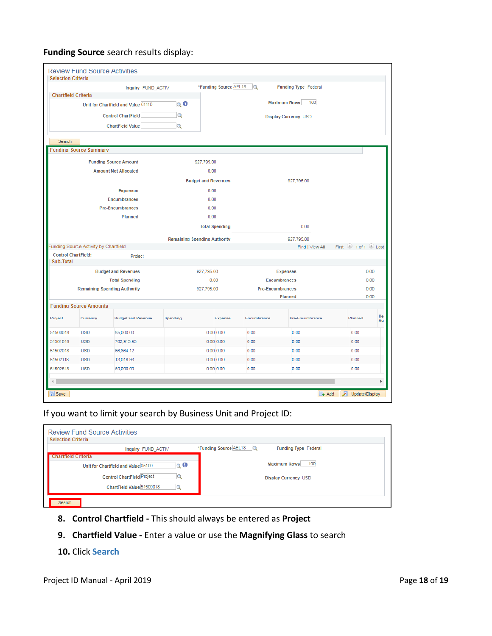### **Funding Source** search results display:

| *Funding Source AEL18<br>$\alpha$<br><b>Funding Type Federal</b><br>Inquiry FUND_ACTIV<br><b>Chartfield Criteria</b><br><b>Maximum Rows</b><br>100<br>$Q$ $\theta$<br>Unit for Chartfield and Value 01110<br>Q<br><b>Control ChartField</b><br>Display Currency USD<br><b>ChartField Value</b><br>Q<br>Search<br><b>Funding Source Summary</b><br><b>Funding Source Amount</b><br>927.795.00<br><b>Amount Not Allocated</b><br>0.00<br><b>Budget and Revenues</b><br>927,795.00<br><b>Expenses</b><br>0.00<br><b>Encumbrances</b><br>0.00<br><b>Pre-Encumbrances</b><br>0.00<br>Planned<br>0.00<br>0.00<br><b>Total Spending</b><br><b>Remaining Spending Authority</b><br>927,795.00<br>Funding Source Activity by Chartfield<br>Find   View All<br><b>Control ChartField:</b><br>Project<br>Sub-Total<br><b>Budget and Revenues</b><br>927,795.00<br><b>Expenses</b><br><b>Total Spending</b><br>0.00<br><b>Encumbrances</b><br><b>Remaining Spending Authority</b><br>927.795.00<br><b>Pre-Encumbrances</b><br>Planned<br><b>Funding Source Amounts</b><br>Project<br><b>Budget and Revenue</b><br><b>Spending</b><br>Encumbrance<br>Pre-Encumbrance<br>Planned<br>Currency<br><b>Expense</b><br>51500018<br><b>USD</b><br>85,000.00<br>$0.00$ 0.00<br>0.00<br>0.00<br>0.00<br>51501018<br><b>USD</b><br>0.00<br>702,913.95<br>$0.00$ $0.00$<br>0.00<br>0.00<br>51502018<br><b>USD</b><br>$0.00$ $0.00$<br>0.00<br>66,864.12<br>0.00<br>0.00<br>51502118<br><b>USD</b><br>13,016.93<br>$0.00$ $0.00$<br>0.00<br>0.00<br>0.00<br>51502518<br>$0.00$ $0.00$ | <b>Selection Criteria</b> |            | <b>Review Fund Source Activities</b> |  |  |      |              |                     |            |
|--------------------------------------------------------------------------------------------------------------------------------------------------------------------------------------------------------------------------------------------------------------------------------------------------------------------------------------------------------------------------------------------------------------------------------------------------------------------------------------------------------------------------------------------------------------------------------------------------------------------------------------------------------------------------------------------------------------------------------------------------------------------------------------------------------------------------------------------------------------------------------------------------------------------------------------------------------------------------------------------------------------------------------------------------------------------------------------------------------------------------------------------------------------------------------------------------------------------------------------------------------------------------------------------------------------------------------------------------------------------------------------------------------------------------------------------------------------------------------------------------------------------------------------------------------------|---------------------------|------------|--------------------------------------|--|--|------|--------------|---------------------|------------|
|                                                                                                                                                                                                                                                                                                                                                                                                                                                                                                                                                                                                                                                                                                                                                                                                                                                                                                                                                                                                                                                                                                                                                                                                                                                                                                                                                                                                                                                                                                                                                              |                           |            |                                      |  |  |      |              |                     |            |
|                                                                                                                                                                                                                                                                                                                                                                                                                                                                                                                                                                                                                                                                                                                                                                                                                                                                                                                                                                                                                                                                                                                                                                                                                                                                                                                                                                                                                                                                                                                                                              |                           |            |                                      |  |  |      |              |                     |            |
|                                                                                                                                                                                                                                                                                                                                                                                                                                                                                                                                                                                                                                                                                                                                                                                                                                                                                                                                                                                                                                                                                                                                                                                                                                                                                                                                                                                                                                                                                                                                                              |                           |            |                                      |  |  |      |              |                     |            |
|                                                                                                                                                                                                                                                                                                                                                                                                                                                                                                                                                                                                                                                                                                                                                                                                                                                                                                                                                                                                                                                                                                                                                                                                                                                                                                                                                                                                                                                                                                                                                              |                           |            |                                      |  |  |      |              |                     |            |
|                                                                                                                                                                                                                                                                                                                                                                                                                                                                                                                                                                                                                                                                                                                                                                                                                                                                                                                                                                                                                                                                                                                                                                                                                                                                                                                                                                                                                                                                                                                                                              |                           |            |                                      |  |  |      |              |                     |            |
|                                                                                                                                                                                                                                                                                                                                                                                                                                                                                                                                                                                                                                                                                                                                                                                                                                                                                                                                                                                                                                                                                                                                                                                                                                                                                                                                                                                                                                                                                                                                                              |                           |            |                                      |  |  |      |              |                     |            |
|                                                                                                                                                                                                                                                                                                                                                                                                                                                                                                                                                                                                                                                                                                                                                                                                                                                                                                                                                                                                                                                                                                                                                                                                                                                                                                                                                                                                                                                                                                                                                              |                           |            |                                      |  |  |      |              |                     |            |
|                                                                                                                                                                                                                                                                                                                                                                                                                                                                                                                                                                                                                                                                                                                                                                                                                                                                                                                                                                                                                                                                                                                                                                                                                                                                                                                                                                                                                                                                                                                                                              |                           |            |                                      |  |  |      |              |                     |            |
|                                                                                                                                                                                                                                                                                                                                                                                                                                                                                                                                                                                                                                                                                                                                                                                                                                                                                                                                                                                                                                                                                                                                                                                                                                                                                                                                                                                                                                                                                                                                                              |                           |            |                                      |  |  |      |              |                     |            |
|                                                                                                                                                                                                                                                                                                                                                                                                                                                                                                                                                                                                                                                                                                                                                                                                                                                                                                                                                                                                                                                                                                                                                                                                                                                                                                                                                                                                                                                                                                                                                              |                           |            |                                      |  |  |      |              |                     |            |
|                                                                                                                                                                                                                                                                                                                                                                                                                                                                                                                                                                                                                                                                                                                                                                                                                                                                                                                                                                                                                                                                                                                                                                                                                                                                                                                                                                                                                                                                                                                                                              |                           |            |                                      |  |  |      |              |                     |            |
|                                                                                                                                                                                                                                                                                                                                                                                                                                                                                                                                                                                                                                                                                                                                                                                                                                                                                                                                                                                                                                                                                                                                                                                                                                                                                                                                                                                                                                                                                                                                                              |                           |            |                                      |  |  |      |              |                     |            |
|                                                                                                                                                                                                                                                                                                                                                                                                                                                                                                                                                                                                                                                                                                                                                                                                                                                                                                                                                                                                                                                                                                                                                                                                                                                                                                                                                                                                                                                                                                                                                              |                           |            |                                      |  |  |      |              |                     |            |
|                                                                                                                                                                                                                                                                                                                                                                                                                                                                                                                                                                                                                                                                                                                                                                                                                                                                                                                                                                                                                                                                                                                                                                                                                                                                                                                                                                                                                                                                                                                                                              |                           |            |                                      |  |  |      |              |                     |            |
|                                                                                                                                                                                                                                                                                                                                                                                                                                                                                                                                                                                                                                                                                                                                                                                                                                                                                                                                                                                                                                                                                                                                                                                                                                                                                                                                                                                                                                                                                                                                                              |                           |            |                                      |  |  |      |              |                     |            |
|                                                                                                                                                                                                                                                                                                                                                                                                                                                                                                                                                                                                                                                                                                                                                                                                                                                                                                                                                                                                                                                                                                                                                                                                                                                                                                                                                                                                                                                                                                                                                              |                           |            |                                      |  |  |      |              |                     |            |
|                                                                                                                                                                                                                                                                                                                                                                                                                                                                                                                                                                                                                                                                                                                                                                                                                                                                                                                                                                                                                                                                                                                                                                                                                                                                                                                                                                                                                                                                                                                                                              |                           |            |                                      |  |  |      |              | First 1 of 1 2 Last |            |
|                                                                                                                                                                                                                                                                                                                                                                                                                                                                                                                                                                                                                                                                                                                                                                                                                                                                                                                                                                                                                                                                                                                                                                                                                                                                                                                                                                                                                                                                                                                                                              |                           |            |                                      |  |  |      |              |                     |            |
|                                                                                                                                                                                                                                                                                                                                                                                                                                                                                                                                                                                                                                                                                                                                                                                                                                                                                                                                                                                                                                                                                                                                                                                                                                                                                                                                                                                                                                                                                                                                                              |                           |            |                                      |  |  |      |              |                     |            |
|                                                                                                                                                                                                                                                                                                                                                                                                                                                                                                                                                                                                                                                                                                                                                                                                                                                                                                                                                                                                                                                                                                                                                                                                                                                                                                                                                                                                                                                                                                                                                              |                           |            |                                      |  |  |      | 0.00<br>0.00 |                     |            |
|                                                                                                                                                                                                                                                                                                                                                                                                                                                                                                                                                                                                                                                                                                                                                                                                                                                                                                                                                                                                                                                                                                                                                                                                                                                                                                                                                                                                                                                                                                                                                              |                           |            |                                      |  |  |      | 0.00         |                     |            |
|                                                                                                                                                                                                                                                                                                                                                                                                                                                                                                                                                                                                                                                                                                                                                                                                                                                                                                                                                                                                                                                                                                                                                                                                                                                                                                                                                                                                                                                                                                                                                              |                           |            |                                      |  |  |      |              |                     | 0.00       |
|                                                                                                                                                                                                                                                                                                                                                                                                                                                                                                                                                                                                                                                                                                                                                                                                                                                                                                                                                                                                                                                                                                                                                                                                                                                                                                                                                                                                                                                                                                                                                              |                           |            |                                      |  |  |      |              |                     |            |
|                                                                                                                                                                                                                                                                                                                                                                                                                                                                                                                                                                                                                                                                                                                                                                                                                                                                                                                                                                                                                                                                                                                                                                                                                                                                                                                                                                                                                                                                                                                                                              |                           |            |                                      |  |  |      |              |                     | Rei<br>Aut |
|                                                                                                                                                                                                                                                                                                                                                                                                                                                                                                                                                                                                                                                                                                                                                                                                                                                                                                                                                                                                                                                                                                                                                                                                                                                                                                                                                                                                                                                                                                                                                              |                           |            |                                      |  |  |      |              |                     |            |
|                                                                                                                                                                                                                                                                                                                                                                                                                                                                                                                                                                                                                                                                                                                                                                                                                                                                                                                                                                                                                                                                                                                                                                                                                                                                                                                                                                                                                                                                                                                                                              |                           |            |                                      |  |  |      |              |                     |            |
|                                                                                                                                                                                                                                                                                                                                                                                                                                                                                                                                                                                                                                                                                                                                                                                                                                                                                                                                                                                                                                                                                                                                                                                                                                                                                                                                                                                                                                                                                                                                                              |                           |            |                                      |  |  |      |              |                     |            |
|                                                                                                                                                                                                                                                                                                                                                                                                                                                                                                                                                                                                                                                                                                                                                                                                                                                                                                                                                                                                                                                                                                                                                                                                                                                                                                                                                                                                                                                                                                                                                              |                           |            |                                      |  |  |      |              |                     |            |
|                                                                                                                                                                                                                                                                                                                                                                                                                                                                                                                                                                                                                                                                                                                                                                                                                                                                                                                                                                                                                                                                                                                                                                                                                                                                                                                                                                                                                                                                                                                                                              |                           | <b>USD</b> | 60,000.00                            |  |  | 0.00 | 0.00         | 0.00                |            |
| 4                                                                                                                                                                                                                                                                                                                                                                                                                                                                                                                                                                                                                                                                                                                                                                                                                                                                                                                                                                                                                                                                                                                                                                                                                                                                                                                                                                                                                                                                                                                                                            |                           |            |                                      |  |  |      |              |                     | Þ          |

If you want to limit your search by Business Unit and Project ID:

| <b>Review Fund Source Activities</b><br><b>Selection Criteria</b> |                                                        |
|-------------------------------------------------------------------|--------------------------------------------------------|
| Inquiry FUND_ACTIV                                                | *Funding Source AEL18 Q<br><b>Funding Type Federal</b> |
| <b>Chartfield Criteria</b>                                        |                                                        |
| 10 O<br>Unit for Chartfield and Value 05100                       | Maximum Rows 100                                       |
| <b>Control ChartField Project</b>                                 | <b>Display Currency USD</b>                            |
| ChartField Value 51500018                                         |                                                        |
| Search                                                            |                                                        |

**8. Control Chartfield -** This should always be entered as **Project**

### **9. Chartfield Value -** Enter a value or use the **Magnifying Glass** to search

### **10.** Click **Search**